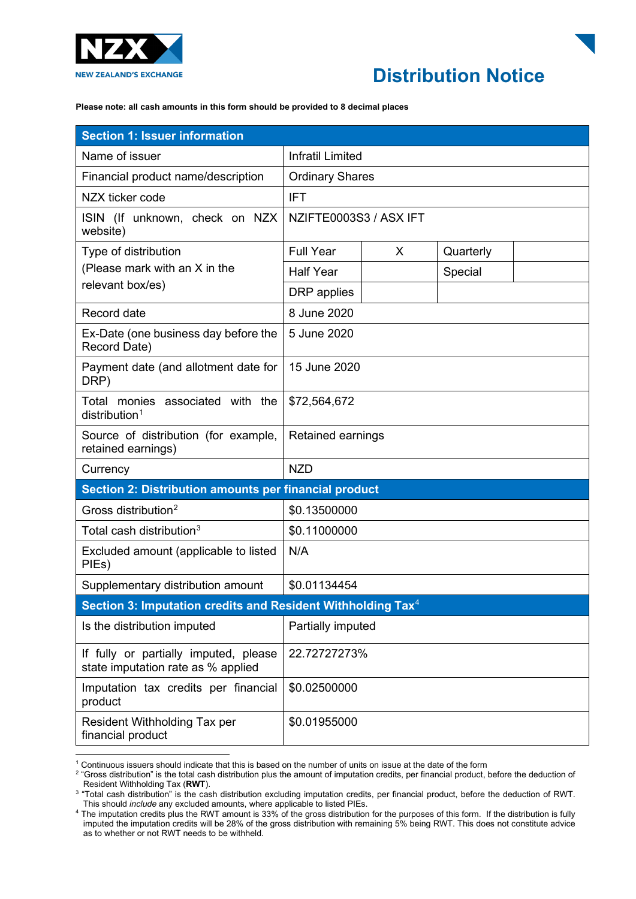

## **Distribution Notice**

**Please note: all cash amounts in this form should be provided to 8 decimal places**

| <b>Section 1: Issuer information</b>                                        |                         |   |           |  |
|-----------------------------------------------------------------------------|-------------------------|---|-----------|--|
| Name of issuer                                                              | <b>Infratil Limited</b> |   |           |  |
| Financial product name/description                                          | <b>Ordinary Shares</b>  |   |           |  |
| NZX ticker code                                                             | <b>IFT</b>              |   |           |  |
| ISIN (If unknown, check on NZX<br>website)                                  | NZIFTE0003S3 / ASX IFT  |   |           |  |
| Type of distribution<br>(Please mark with an X in the<br>relevant box/es)   | <b>Full Year</b>        | X | Quarterly |  |
|                                                                             | <b>Half Year</b>        |   | Special   |  |
|                                                                             | DRP applies             |   |           |  |
| Record date                                                                 | 8 June 2020             |   |           |  |
| Ex-Date (one business day before the<br>Record Date)                        | 5 June 2020             |   |           |  |
| Payment date (and allotment date for<br>DRP)                                | 15 June 2020            |   |           |  |
| Total monies associated with the<br>$distri$ bution <sup>1</sup>            | \$72,564,672            |   |           |  |
| Source of distribution (for example,<br>retained earnings)                  | Retained earnings       |   |           |  |
| Currency                                                                    | <b>NZD</b>              |   |           |  |
| Section 2: Distribution amounts per financial product                       |                         |   |           |  |
| Gross distribution <sup>2</sup>                                             | \$0.13500000            |   |           |  |
| Total cash distribution <sup>3</sup>                                        | \$0.11000000            |   |           |  |
| Excluded amount (applicable to listed<br>PIEs)                              | N/A                     |   |           |  |
| Supplementary distribution amount                                           | \$0.01134454            |   |           |  |
| Section 3: Imputation credits and Resident Withholding Tax <sup>4</sup>     |                         |   |           |  |
| Is the distribution imputed                                                 | Partially imputed       |   |           |  |
| If fully or partially imputed, please<br>state imputation rate as % applied | 22.72727273%            |   |           |  |
| Imputation tax credits per financial<br>product                             | \$0.02500000            |   |           |  |
| Resident Withholding Tax per<br>financial product                           | \$0.01955000            |   |           |  |

<sup>1</sup> Continuous issuers should indicate that this is based on the number of units on issue at the date of the form

<span id="page-0-1"></span><span id="page-0-0"></span><sup>2 &</sup>quot;Gross distribution" is the total cash distribution plus the amount of imputation credits, per financial product, before the deduction of<br>Resident Withholding Tax (RWT).

<span id="page-0-2"></span>Resident Withholding Tax (**RWT**).<br><sup>3</sup> "Total cash distribution" is the cash distribution excluding imputation credits, per financial product, before the deduction of RWT.<br>This should *include* any excluded amounts, where a

<span id="page-0-3"></span>This should *include* any excluded amounts, where applicable to listed PIEs. 4 The imputation credits plus the RWT amount is 33% of the gross distribution for the purposes of this form. If the distribution is fully imputed the imputation credits will be 28% of the gross distribution with remaining 5% being RWT. This does not constitute advice as to whether or not RWT needs to be withheld.